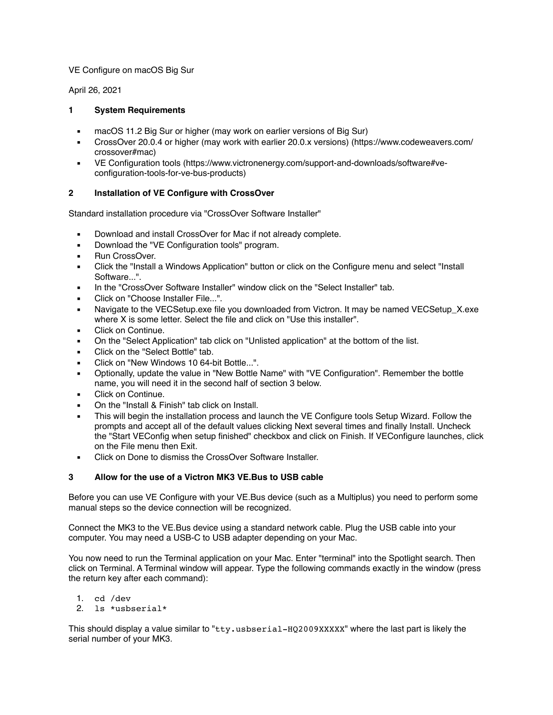### VE Configure on macOS Big Sur

April 26, 2021

## **1 System Requirements**

- macOS 11.2 Big Sur or higher (may work on earlier versions of Big Sur)
- CrossOver 20.0.4 or higher (may work with earlier 20.0.x versions) (https://www.codeweavers.com/ crossover#mac)
- VE Configuration tools (https://www.victronenergy.com/support-and-downloads/software#veconfiguration-tools-for-ve-bus-products)

# **2 Installation of VE Configure with CrossOver**

Standard installation procedure via "CrossOver Software Installer"

- **■** Download and install CrossOver for Mac if not already complete.
- **•** Download the "VE Configuration tools" program.
- **Bun CrossOver.**
- Click the "Install a Windows Application" button or click on the Configure menu and select "Install Software...".
- In the "CrossOver Software Installer" window click on the "Select Installer" tab.
- Click on "Choose Installer File...".
- Navigate to the VECSetup.exe file you downloaded from Victron. It may be named VECSetup X.exe where X is some letter. Select the file and click on "Use this installer".
- Click on Continue.
- On the "Select Application" tab click on "Unlisted application" at the bottom of the list.
- Click on the "Select Bottle" tab.
- Click on "New Windows 10 64-bit Bottle...".
- Optionally, update the value in "New Bottle Name" with "VE Configuration". Remember the bottle name, you will need it in the second half of section 3 below.
- Click on Continue.
- On the "Install & Finish" tab click on Install.
- This will begin the installation process and launch the VE Configure tools Setup Wizard. Follow the prompts and accept all of the default values clicking Next several times and finally Install. Uncheck the "Start VEConfig when setup finished" checkbox and click on Finish. If VEConfigure launches, click on the File menu then Exit.
- Click on Done to dismiss the CrossOver Software Installer.

### **3 Allow for the use of a Victron MK3 VE.Bus to USB cable**

Before you can use VE Configure with your VE.Bus device (such as a Multiplus) you need to perform some manual steps so the device connection will be recognized.

Connect the MK3 to the VE.Bus device using a standard network cable. Plug the USB cable into your computer. You may need a USB-C to USB adapter depending on your Mac.

You now need to run the Terminal application on your Mac. Enter "terminal" into the Spotlight search. Then click on Terminal. A Terminal window will appear. Type the following commands exactly in the window (press the return key after each command):

- 1. cd /dev
- 2. ls \*usbserial\*

This should display a value similar to " $\tt try.$  usbserial-HQ2009XXXXX" where the last part is likely the serial number of your MK3.